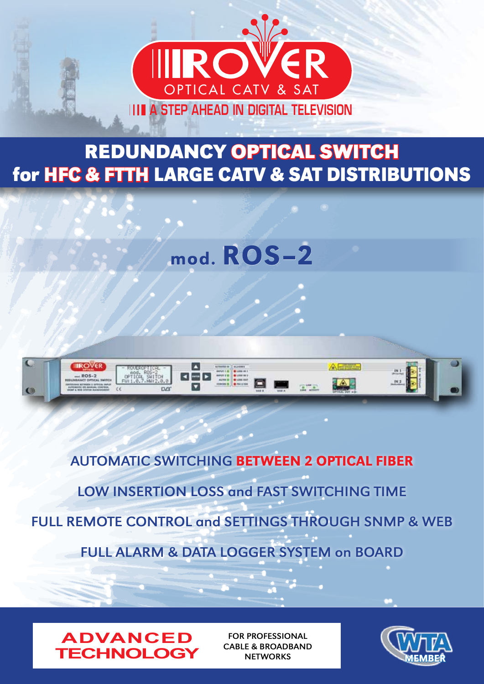

# **REDUNDANCY OPTICAL SWITCH for HFC & FTTH LARGE CATV & SAT DISTRIBUTIONS**

mod. ROS**-**<sup>2</sup>



AUTOMATIC SWITCHING BETWEEN 2 OPTICAL FIBER LOW INSERTION LOSS and FAST SWITCHING TIME FULL REMOTE CONTROL and SETTINGS THROUGH SNMP & WEB FULL ALARM & DATA LOGGER SYSTEM on BOARD



FOR PROFESSIONAL CABLE & BROADBAND **NETWORKS** 

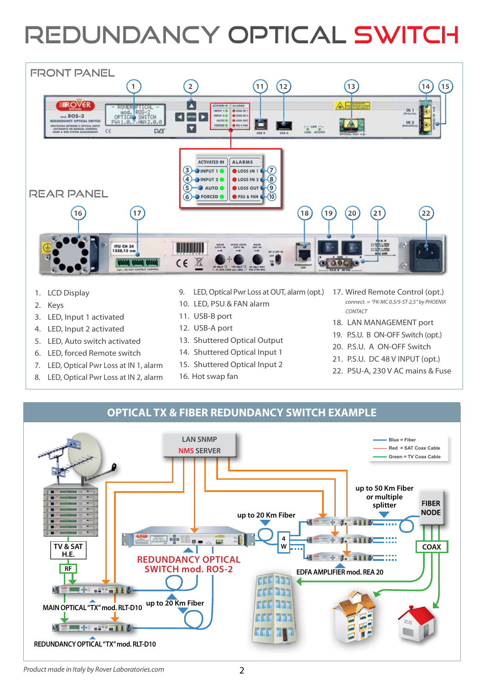# REDUNDANCY OPTICAL SWITCH



- 1. LCD Display
- 2. Keys
- 3. LED, Input 1 activated
- 4. LED, Input 2 activated
- 5. LED, Auto switch activated
- 6. LED, forced Remote switch
- 7. LED, Optical Pwr Loss at IN 1, alarm
- 8. LED, Optical Pwr Loss at IN 2, alarm
- 9. LED, Optical Pwr Loss at OUT, alarm (opt.)
- 10. LED, PSU & FAN alarm
- 11. USB-B port
- 12. USB-A port
- 13. Shuttered Optical Output
- 14. Shuttered Optical Input 1
- 15. Shuttered Optical Input 2
- 16. Hot swap fan
- 17. Wired Remote Control (opt.) *connect. = "FK-MC 0,5/5-ST-2,5" by PHOENIX CONTACT*
- 18. LAN MANAGEMENT port
- 19. P.S.U. B ON-OFF Switch (opt.)
- 20. P.S.U. A ON-OFF Switch
- 21. P.S.U. DC 48 V INPUT (opt.)
- 22. PSU-A, 230 V AC mains & Fuse

### **OPTICAL TX & FIBER REDUNDANCY SWITCH EXAMPLE**

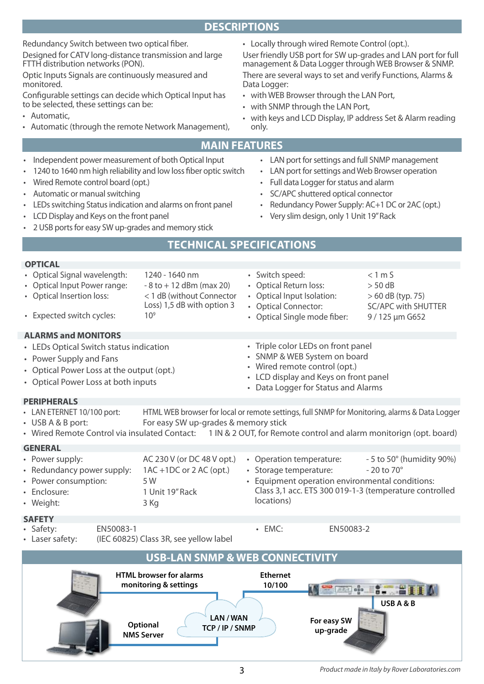# **DESCRIPTIONS**

Redundancy Switch between two optical fiber. Designed for CATV long-distance transmission and large FTTH distribution networks (PON).

Optic Inputs Signals are continuously measured and monitored.

Configurable settings can decide which Optical Input has to be selected, these settings can be:

- • Automatic,
- • Automatic (through the remote Network Management),

• Locally through wired Remote Control (opt.).

User friendly USB port for SW up-grades and LAN port for full management & Data Logger through WEB Browser & SNMP. There are several ways to set and verify Functions, Alarms & Data Logger:

- • with WEB Browser through the LAN Port,
- • with SNMP through the LAN Port,
- with keys and LCD Display, IP address Set & Alarm reading only.

#### **MAIN FEATURES**

- Independent power measurement of both Optical Input
- 1240 to 1640 nm high reliability and low loss fiber optic switch
- Wired Remote control board (opt.)
- Automatic or manual switching
- LEDs switching Status indication and alarms on front panel
- LCD Display and Keys on the front panel
- 2 USB ports for easy SW up-grades and memory stick
- • LAN port for settings and full SNMP management
- LAN port for settings and Web Browser operation
- Full data Logger for status and alarm
- SC/APC shuttered optical connector
- Redundancy Power Supply: AC+1 DC or 2AC (opt.)
- • Very slim design, only 1 Unit 19" Rack

• Switch speed: < 1 m S • Optical Return loss: > 50 dB

• Triple color LEDs on front panel • SNMP & WEB System on board • Wired remote control (opt.)

• LCD display and Keys on front panel • Data Logger for Status and Alarms

• EMC: EN50083-2

• Optical Input Isolation:  $> 60$  dB (typ. 75) • Optical Connector: SC/APC with SHUTTER • Optical Single mode fiber: 9/125 µm G652

# **Technical specificationS**

- Optical Signal wavelength: 1240 1640 nm
- Optical Input Power range:  $-8$  to  $+12$  dBm (max 20)
- Optical Insertion loss:  $\leq 1$  dB (without Connector
- Expected switch cycles:  $10<sup>9</sup>$

#### **ALARMS and MONITORS**

- • LEDs Optical Switch status indication
- • Power Supply and Fans
- Optical Power Loss at the output (opt.)
- • Optical Power Loss at both inputs
- **PERIPHERALS**
- LAN ETERNET 10/100 port: HTML WEB browser for local or remote settings, full SNMP for Monitoring, alarms & Data Logger • USB A & B port: For easy SW up-grades & memory stick

Loss) 1,5 dB with option 3

• Wired Remote Control via insulated Contact: 1 IN & 2 OUT, for Remote control and alarm monitorign (opt. board)

# **GENERAL**

• Power supply:  $AC 230 V (or DC 48 V opt.)$ • Redundancy power supply: 1AC +1DC or 2AC (opt.) • Power consumption: 5W • Enclosure: 1 Unit 19" Rack • Weight: 3 Kg • Operation temperature:  $-5$  to 50 $\degree$  (humidity 90%) • Storage temperature: - 20 to 70° Equipment operation environmental conditions: Class 3,1 acc. ETS 300 019-1-3 (temperature controlled locations)

#### **SAFETY**

- Safety: EN50083-1
- Laser safety: (IEC 60825) Class 3R, see yellow label

**USB-LAN SNMP & WEB CONNECTIVITY HTML browser for alarms Ethernet monitoring & settings 10/100 ARA** one ÷. **USB A & B LAN / WAN For easy SW Optional TCP / IP / SNMP up-grade NMS Server**